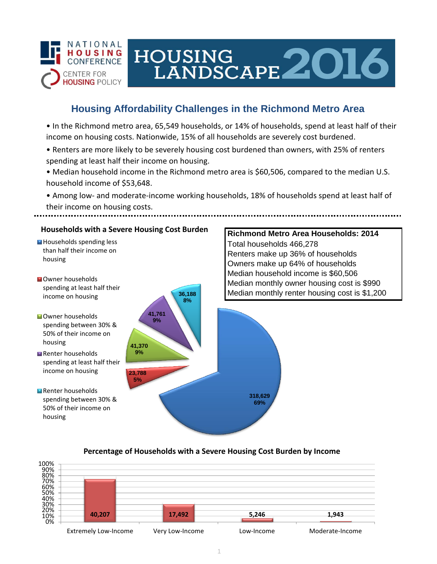

# HOUSING<br>LANDSCAPE 2016

## **Housing Affordability Challenges in the Richmond Metro Area**

• In the Richmond metro area, 65,549 households, or 14% of households, spend at least half of their income on housing costs. Nationwide, 15% of all households are severely cost burdened.

- Renters are more likely to be severely housing cost burdened than owners, with 25% of renters spending at least half their income on housing.
- Median household income in the Richmond metro area is \$60,506, compared to the median U.S. household income of \$53,648.
- Among low- and moderate-income working households, 18% of households spend at least half of their income on housing costs.



#### **Percentage of Households with a Severe Housing Cost Burden by Income**